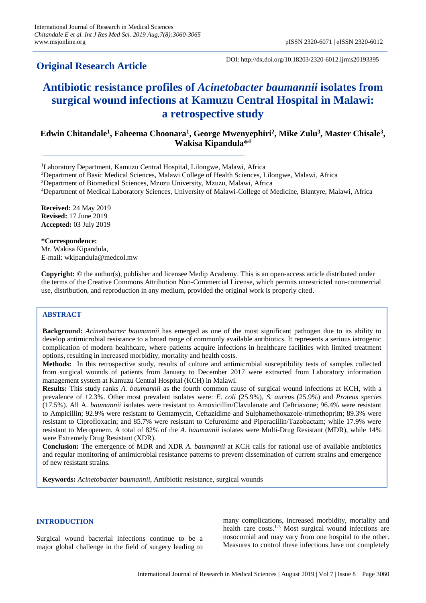# **Original Research Article**

DOI: http://dx.doi.org/10.18203/2320-6012.ijrms20193395

# **Antibiotic resistance profiles of** *Acinetobacter baumannii* **isolates from surgical wound infections at Kamuzu Central Hospital in Malawi: a retrospective study**

# **Edwin Chitandale<sup>1</sup> , Faheema Choonara<sup>1</sup> , George Mwenyephiri<sup>2</sup> , Mike Zulu<sup>3</sup> , Master Chisale<sup>3</sup> , Wakisa Kipandula\*<sup>4</sup>**

<sup>1</sup>Laboratory Department, Kamuzu Central Hospital, Lilongwe, Malawi, Africa

<sup>2</sup>Department of Basic Medical Sciences, Malawi College of Health Sciences, Lilongwe, Malawi, Africa

<sup>3</sup>Department of Biomedical Sciences, Mzuzu University, Mzuzu, Malawi, Africa

<sup>4</sup>Department of Medical Laboratory Sciences, University of Malawi-College of Medicine, Blantyre, Malawi, Africa

**Received:** 24 May 2019 **Revised:** 17 June 2019 **Accepted:** 03 July 2019

**\*Correspondence:** Mr. Wakisa Kipandula, E-mail: wkipandula@medcol.mw

**Copyright:** © the author(s), publisher and licensee Medip Academy. This is an open-access article distributed under the terms of the Creative Commons Attribution Non-Commercial License, which permits unrestricted non-commercial use, distribution, and reproduction in any medium, provided the original work is properly cited.

# **ABSTRACT**

**Background:** *Acinetobacter baumannii* has emerged as one of the most significant pathogen due to its ability to develop antimicrobial resistance to a broad range of commonly available antibiotics. It represents a serious iatrogenic complication of modern healthcare, where patients acquire infections in healthcare facilities with limited treatment options, resulting in increased morbidity, mortality and health costs.

**Methods:** In this retrospective study, results of culture and antimicrobial susceptibility tests of samples collected from surgical wounds of patients from January to December 2017 were extracted from Laboratory information management system at Kamuzu Central Hospital (KCH) in Malawi.

**Results:** This study ranks *A. baumannii* as the fourth common cause of surgical wound infections at KCH, with a prevalence of 12.3%. Other most prevalent isolates were: *E. coli* (25.9%), *S. aureu*s (25.9%) and *Proteus species* (17.5%). All A. *baumannii* isolates were resistant to Amoxicillin/Clavulanate and Ceftriaxone; 96.4% were resistant to Ampicillin; 92.9% were resistant to Gentamycin, Ceftazidime and Sulphamethoxazole-trimethoprim; 89.3% were resistant to Ciprofloxacin; and 85.7% were resistant to Cefuroxime and Piperacillin/Tazobactam; while 17.9% were resistant to Meropenem. A total of 82% of the *A. baumannii* isolates were Multi-Drug Resistant (MDR), while 14% were Extremely Drug Resistant (XDR).

**Conclusion:** The emergence of MDR and XDR *A. baumannii* at KCH calls for rational use of available antibiotics and regular monitoring of antimicrobial resistance patterns to prevent dissemination of current strains and emergence of new resistant strains.

**Keywords:** *Acinetobacter baumannii*, Antibiotic resistance, surgical wounds

# **INTRODUCTION**

Surgical wound bacterial infections continue to be a major global challenge in the field of surgery leading to many complications, increased morbidity, mortality and health care costs.<sup>1-3</sup> Most surgical wound infections are nosocomial and may vary from one hospital to the other. Measures to control these infections have not completely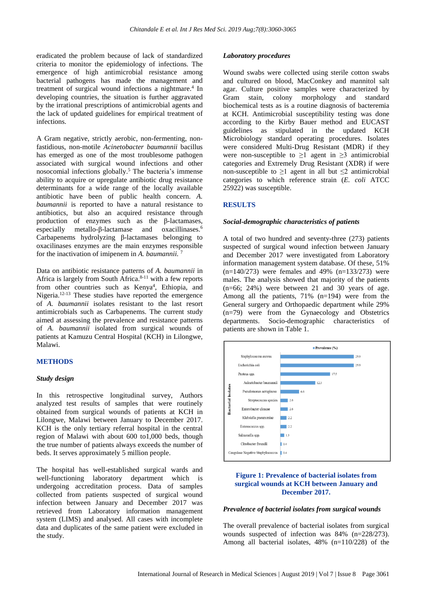eradicated the problem because of lack of standardized criteria to monitor the epidemiology of infections. The emergence of high antimicrobial resistance among bacterial pathogens has made the management and treatment of surgical wound infections a nightmare.<sup>4</sup> In developing countries, the situation is further aggravated by the irrational prescriptions of antimicrobial agents and the lack of updated guidelines for empirical treatment of infections.

A Gram negative, strictly aerobic, non-fermenting, nonfastidious, non-motile *Acinetobacter baumannii* bacillus has emerged as one of the most troublesome pathogen associated with surgical wound infections and other nosocomial infections globally. <sup>5</sup> The bacteria's immense ability to acquire or upregulate antibiotic drug resistance determinants for a wide range of the locally available antibiotic have been of public health concern. *A. baumannii* is reported to have a natural resistance to antibiotics, but also an acquired resistance through production of enzymes such as the β-lactamases, especially metallo-β-lactamase and oxacillinases.<sup>6</sup> Carbapenems hydrolyzing β-lactamases belonging to oxacilinases enzymes are the main enzymes responsible for the inactivation of imipenem in *A. baumannii.* 7

Data on antibiotic resistance patterns of *A. baumannii* in Africa is largely from South Africa. 8-11 with a few reports from other countries such as Kenya<sup>4</sup>, Ethiopia, and Nigeria.<sup>12-13</sup> These studies have reported the emergence of *A. baumannii* isolates resistant to the last resort antimicrobials such as Carbapenems. The current study aimed at assessing the prevalence and resistance patterns of *A. baumannii* isolated from surgical wounds of patients at Kamuzu Central Hospital (KCH) in Lilongwe, Malawi.

## **METHODS**

#### *Study design*

In this retrospective longitudinal survey, Authors analyzed test results of samples that were routinely obtained from surgical wounds of patients at KCH in Lilongwe, Malawi between January to December 2017. KCH is the only tertiary referral hospital in the central region of Malawi with about 600 to1,000 beds, though the true number of patients always exceeds the number of beds. It serves approximately 5 million people.

The hospital has well-established surgical wards and well-functioning laboratory department which is undergoing accreditation process. Data of samples collected from patients suspected of surgical wound infection between January and December 2017 was retrieved from Laboratory information management system (LIMS) and analysed. All cases with incomplete data and duplicates of the same patient were excluded in the study.

#### *Laboratory procedures*

Wound swabs were collected using sterile cotton swabs and cultured on blood, MacConkey and mannitol salt agar. Culture positive samples were characterized by Gram stain, colony morphology and standard biochemical tests as is a routine diagnosis of bacteremia at KCH. Antimicrobial susceptibility testing was done according to the Kirby Bauer method and EUCAST guidelines as stipulated in the updated KCH Microbiology standard operating procedures. Isolates were considered Multi-Drug Resistant (MDR) if they were non-susceptible to  $\geq 1$  agent in  $\geq 3$  antimicrobial categories and Extremely Drug Resistant (XDR) if were non-susceptible to  $\geq 1$  agent in all but  $\leq 2$  antimicrobial categories to which reference strain (*E. coli* ATCC 25922) was susceptible.

### **RESULTS**

#### *Social-demographic characteristics of patients*

A total of two hundred and seventy-three (273) patients suspected of surgical wound infection between January and December 2017 were investigated from Laboratory information management system database. Of these, 51%  $(n=140/273)$  were females and 49%  $(n=133/273)$  were males. The analysis showed that majority of the patients  $(n=66; 24%)$  were between 21 and 30 years of age. Among all the patients, 71% (n=194) were from the General surgery and Orthopaedic department while 29% (n=79) were from the Gynaecology and Obstetrics departments. Socio-demographic characteristics of patients are shown in Table 1.



# **Figure 1: Prevalence of bacterial isolates from surgical wounds at KCH between January and December 2017.**

#### *Prevalence of bacterial isolates from surgical wounds*

The overall prevalence of bacterial isolates from surgical wounds suspected of infection was 84% (n=228/273). Among all bacterial isolates, 48% (n=110/228) of the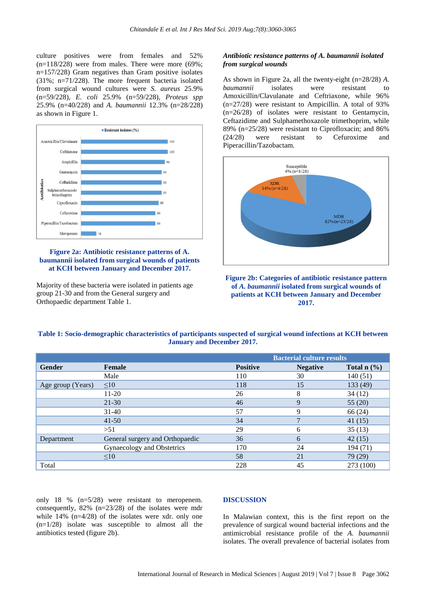culture positives were from females and 52%  $(n=118/228)$  were from males. There were more (69%; n=157/228) Gram negatives than Gram positive isolates (31%; n=71/228). The more frequent bacteria isolated from surgical wound cultures were *S*. *aureus* 25.9% (n=59/228), *E. coli* 25.9% (n=59/228), *Proteus spp* 25.9% (n=40/228) and *A. baumannii* 12.3% (n=28/228) as shown in Figure 1.



# **Figure 2a: Antibiotic resistance patterns of A. baumannii isolated from surgical wounds of patients at KCH between January and December 2017.**

Majority of these bacteria were isolated in patients age group 21-30 and from the General surgery and Orthopaedic department Table 1.

# *Antibiotic resistance patterns of A. baumannii isolated from surgical wounds*

As shown in Figure 2a, all the twenty-eight (n=28/28) *A. baumannii* isolates were resistant to Amoxicillin/Clavulanate and Ceftriaxone, while 96% (n=27/28) were resistant to Ampicillin. A total of 93% (n=26/28) of isolates were resistant to Gentamycin, Ceftazidime and Sulphamethoxazole trimethoprim, while 89% (n=25/28) were resistant to Ciprofloxacin; and 86% (24/28) were resistant to Cefuroxime and Piperacillin/Tazobactam.



**Figure 2b: Categories of antibiotic resistance pattern of** *A. baumannii* **isolated from surgical wounds of patients at KCH between January and December 2017.**

| Table 1: Socio-demographic characteristics of participants suspected of surgical wound infections at KCH between |  |
|------------------------------------------------------------------------------------------------------------------|--|
| <b>January and December 2017.</b>                                                                                |  |

|                   |                                 | <b>Bacterial culture results</b> |                 |               |
|-------------------|---------------------------------|----------------------------------|-----------------|---------------|
| <b>Gender</b>     | <b>Female</b>                   | <b>Positive</b>                  | <b>Negative</b> | Total $n$ (%) |
|                   | Male                            | 110                              | 30              | 140(51)       |
| Age group (Years) | $\leq 10$                       | 118                              | 15              | 133 (49)      |
|                   | $11-20$                         | 26                               | 8               | 34(12)        |
|                   | $21 - 30$                       | 46                               | 9               | 55 $(20)$     |
|                   | $31 - 40$                       | 57                               |                 | 66 (24)       |
|                   | $41 - 50$                       | 34                               |                 | 41(15)        |
|                   | >51                             | 29                               | 6               | 35(13)        |
| Department        | General surgery and Orthopaedic | 36                               | 6               | 42(15)        |
|                   | Gynaecology and Obstetrics      | 170                              | 24              | 194 (71)      |
|                   | $\leq 10$                       | 58                               | 21              | 79 (29)       |
| Total             |                                 | 228                              | 45              | 273 (100)     |

only 18 % (n=5/28) were resistant to meropenem. consequently, 82% (n=23/28) of the isolates were mdr while  $14\%$  (n= $4/28$ ) of the isolates were xdr. only one  $(n=1/28)$  isolate was susceptible to almost all the antibiotics tested (figure 2b).

### **DISCUSSION**

In Malawian context, this is the first report on the prevalence of surgical wound bacterial infections and the antimicrobial resistance profile of the *A. baumannii* isolates. The overall prevalence of bacterial isolates from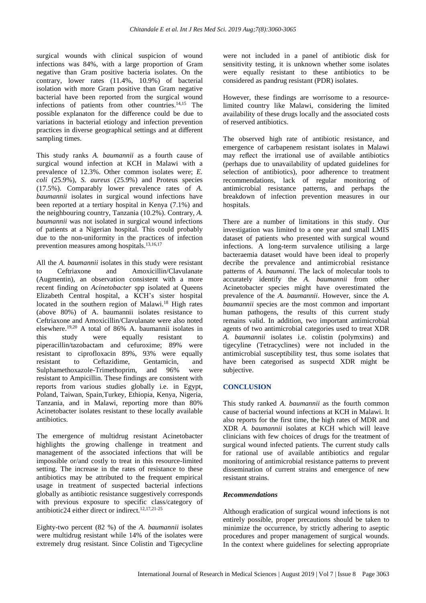surgical wounds with clinical suspicion of wound infections was 84%, with a large proportion of Gram negative than Gram positive bacteria isolates. On the contrary, lower rates (11.4%, 10.9%) of bacterial isolation with more Gram positive than Gram negative bacterial have been reported from the surgical wound infections of patients from other countries. 14,15 The possible explanaton for the difference could be due to variations in bacterial etiology and infection prevention practices in diverse geographical settings and at different sampling times.

This study ranks *A. baumannii* as a fourth cause of surgical wound infection at KCH in Malawi with a prevalence of 12.3%. Other common isolates were; *E. coli* (25.9%), *S. aureus* (25.9%) and Proteus species (17.5%). Comparably lower prevalence rates of *A. baumannii* isolates in surgical wound infections have been reported at a tertiary hospital in Kenya (7.1%) and the neighbouring country, Tanzania (10.2%). Contrary, *A. baumannii* was not isolated in surgical wound infections of patients at a Nigerian hospital. This could probably due to the non-uniformity in the practices of infection prevention measures among hospitals.<sup>13,16,17</sup>

All the *A. baumannii* isolates in this study were resistant to Ceftriaxone and Amoxicillin/Clavulanate (Augmentin), an observation consistent with a more recent finding on *Acinetobacter* spp isolated at Queens Elizabeth Central hospital, a KCH's sister hospital located in the southern region of Malawi.<sup>18</sup> High rates (above 80%) of A. baumannii isolates resistance to Ceftriaxone and Amoxicillin/Clavulanate were also noted elsewhere. 19,20 A total of 86% A. baumannii isolates in this study were equally resistant to piperacillin/tazobactam and cefuroxime; 89% were resistant to ciprofloxacin 89%, 93% were equally resistant to Ceftazidime, Gentamicin, and Sulphamethoxazole-Trimethoprim, and 96% were resistant to Ampicillin. These findings are consistent with reports from various studies globally i.e. in Egypt, Poland, Taiwan, Spain,Turkey, Ethiopia, Kenya, Nigeria, Tanzania, and in Malawi, reporting more than 80% Acinetobacter isolates resistant to these locally available antibiotics.

The emergence of multidrug resistant Acinetobacter highlights the growing challenge in treatment and management of the associated infections that will be impossible or/and costly to treat in this resource-limited setting. The increase in the rates of resistance to these antibiotics may be attributed to the frequent empirical usage in treatment of suspected bacterial infections globally as antibiotic resistance suggestively corresponds with previous exposure to specific class/category of antibiotic24 either direct or indirect.<sup>12,17,21-25</sup>

Eighty-two percent (82 %) of the *A. baumannii* isolates were multidrug resistant while 14% of the isolates were extremely drug resistant. Since Colistin and Tigecycline were not included in a panel of antibiotic disk for sensitivity testing, it is unknown whether some isolates were equally resistant to these antibiotics to be considered as pandrug resistant (PDR) isolates.

However, these findings are worrisome to a resourcelimited country like Malawi, considering the limited availability of these drugs locally and the associated costs of reserved antibiotics.

The observed high rate of antibiotic resistance, and emergence of carbapenem resistant isolates in Malawi may reflect the irrational use of available antibiotics (perhaps due to unavailability of updated guidelines for selection of antibiotics), poor adherence to treatment recommendations, lack of regular monitoring of antimicrobial resistance patterns, and perhaps the breakdown of infection prevention measures in our hospitals.

There are a number of limitations in this study. Our investigation was limited to a one year and small LMIS dataset of patients who presented with surgical wound infections. A long-term survalence utilising a large bacteraemia dataset would have been ideal to properly decribe the prevalence and antimicrobial resistance patterns of *A. baumanni*. The lack of molecular tools to accurately identify the *A. baumannii* from other Acinetobacter species might have overestimated the prevalence of the *A. baumannii*. However, since the *A. baumannii* species are the most common and important human pathogens, the results of this current study remains valid. In addition, two important antimicrobial agents of two antimicrobial categories used to treat XDR *A. baumannii* isolates i.e. colistin (polymxins) and tigecyline (Tetracyclines) were not included in the antimicrobial susceptibility test, thus some isolates that have been categorised as suspectd XDR might be subjective.

# **CONCLUSION**

This study ranked *A. baumannii* as the fourth common cause of bacterial wound infections at KCH in Malawi. It also reports for the first time, the high rates of MDR and XDR *A. baumannii* isolates at KCH which will leave clinicians with few choices of drugs for the treatment of surgical wound infected patients. The current study calls for rational use of available antibiotics and regular monitoring of antimicrobial resistance patterns to prevent dissemination of current strains and emergence of new resistant strains.

# *Recommendations*

Although eradication of surgical wound infections is not entirely possible, proper precautions should be taken to minimize the occurrence, by strictly adhering to aseptic procedures and proper management of surgical wounds. In the context where guidelines for selecting appropriate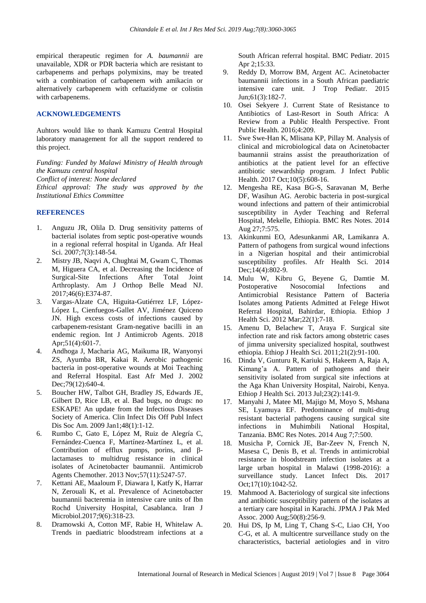empirical therapeutic regimen for *A. baumannii* are unavailable, XDR or PDR bacteria which are resistant to carbapenems and perhaps polymixins, may be treated with a combination of carbapenem with amikacin or alternatively carbapenem with ceftazidyme or colistin with carbapenems.

### **ACKNOWLEDGEMENTS**

Auhtors would like to thank Kamuzu Central Hospital laboratory management for all the support rendered to this project.

*Funding: Funded by Malawi Ministry of Health through the Kamuzu central hospital Conflict of interest: None declared Ethical approval: The study was approved by the Institutional Ethics Committee*

### **REFERENCES**

- 1. Anguzu JR, Olila D. Drug sensitivity patterns of bacterial isolates from septic post-operative wounds in a regional referral hospital in Uganda. Afr Heal Sci. 2007;7(3):148-54.
- 2. Mistry JB, Naqvi A, Chughtai M, Gwam C, Thomas M, Higuera CA, et al. Decreasing the Incidence of Surgical-Site Infections After Total Joint Arthroplasty. Am J Orthop Belle Mead NJ. 2017;46(6):E374-87.
- 3. Vargas-Alzate CA, Higuita-Gutiérrez LF, López-López L, Cienfuegos-Gallet AV, Jiménez Quiceno JN. High excess costs of infections caused by carbapenem-resistant Gram-negative bacilli in an endemic region. Int J Antimicrob Agents. 2018 Apr: 51(4): 601-7.
- 4. Andhoga J, Macharia AG, Maikuma IR, Wanyonyi ZS, Ayumba BR, Kakai R. Aerobic pathogenic bacteria in post-operative wounds at Moi Teaching and Referral Hospital. East Afr Med J. 2002 Dec: 79(12): 640-4.
- 5. Boucher HW, Talbot GH, Bradley JS, Edwards JE, Gilbert D, Rice LB, et al. Bad bugs, no drugs: no ESKAPE! An update from the Infectious Diseases Society of America. Clin Infect Dis Off Publ Infect Dis Soc Am. 2009 Jan1;48(1):1-12.
- 6. Rumbo C, Gato E, López M, Ruiz de Alegría C, Fernández-Cuenca F, Martínez-Martínez L, et al. Contribution of efflux pumps, porins, and βlactamases to multidrug resistance in clinical isolates of Acinetobacter baumannii. Antimicrob Agents Chemother. 2013 Nov;57(11):5247-57.
- 7. Kettani AE, Maaloum F, Diawara I, Katfy K, Harrar N, Zerouali K, et al. Prevalence of Acinetobacter baumannii bacteremia in intensive care units of Ibn Rochd University Hospital, Casablanca. Iran J Microbiol.2017;9(6):318-23.
- 8. Dramowski A, Cotton MF, Rabie H, Whitelaw A. Trends in paediatric bloodstream infections at a

South African referral hospital. BMC Pediatr. 2015 Apr 2;15:33.

- 9. Reddy D, Morrow BM, Argent AC. Acinetobacter baumannii infections in a South African paediatric intensive care unit. J Trop Pediatr. 2015 Jun;61(3):182-7.
- 10. Osei Sekyere J. Current State of Resistance to Antibiotics of Last-Resort in South Africa: A Review from a Public Health Perspective. Front Public Health. 2016;4:209.
- 11. Swe Swe-Han K, Mlisana KP, Pillay M. Analysis of clinical and microbiological data on Acinetobacter baumannii strains assist the preauthorization of antibiotics at the patient level for an effective antibiotic stewardship program. J Infect Public Health. 2017 Oct;10(5):608-16.
- 12. Mengesha RE, Kasa BG-S, Saravanan M, Berhe DF, Wasihun AG. Aerobic bacteria in post-surgical wound infections and pattern of their antimicrobial susceptibility in Ayder Teaching and Referral Hospital, Mekelle, Ethiopia. BMC Res Notes. 2014 Aug 27;7:575.
- 13. Akinkunmi EO, Adesunkanmi AR, Lamikanra A. Pattern of pathogens from surgical wound infections in a Nigerian hospital and their antimicrobial susceptibility profiles. Afr Health Sci. 2014 Dec;14(4):802-9.
- 14. Mulu W, Kibru G, Beyene G, Damtie M. Postoperative Nosocomial Infections and Antimicrobial Resistance Pattern of Bacteria Isolates among Patients Admitted at Felege Hiwot Referral Hospital, Bahirdar, Ethiopia. Ethiop J Health Sci. 2012 Mar;22(1):7-18.
- 15. Amenu D, Belachew T, Araya F. Surgical site infection rate and risk factors among obstetric cases of jimma university specialized hospital, southwest ethiopia. Ethiop J Health Sci. 2011;21(2):91-100.
- 16. Dinda V, Gunturu R, Kariuki S, Hakeem A, Raja A, Kimang'a A. Pattern of pathogens and their sensitivity isolated from surgical site infections at the Aga Khan University Hospital, Nairobi, Kenya. Ethiop J Health Sci. 2013 Jul;23(2):141-9.
- 17. Manyahi J, Matee MI, Majigo M, Moyo S, Mshana SE, Lyamuya EF. Predominance of multi-drug resistant bacterial pathogens causing surgical site infections in Muhimbili National Hospital, Tanzania. BMC Res Notes. 2014 Aug 7;7:500.
- 18. Musicha P, Cornick JE, Bar-Zeev N, French N, Masesa C, Denis B, et al. Trends in antimicrobial resistance in bloodstream infection isolates at a large urban hospital in Malawi (1998-2016): a surveillance study. Lancet Infect Dis. 2017 Oct;17(10):1042-52.
- 19. Mahmood A. Bacteriology of surgical site infections and antibiotic susceptibility pattern of the isolates at a tertiary care hospital in Karachi. JPMA J Pak Med Assoc. 2000 Aug;50(8):256-9.
- 20. Hui DS, Ip M, Ling T, Chang S-C, Liao CH, Yoo C-G, et al. A multicentre surveillance study on the characteristics, bacterial aetiologies and in vitro